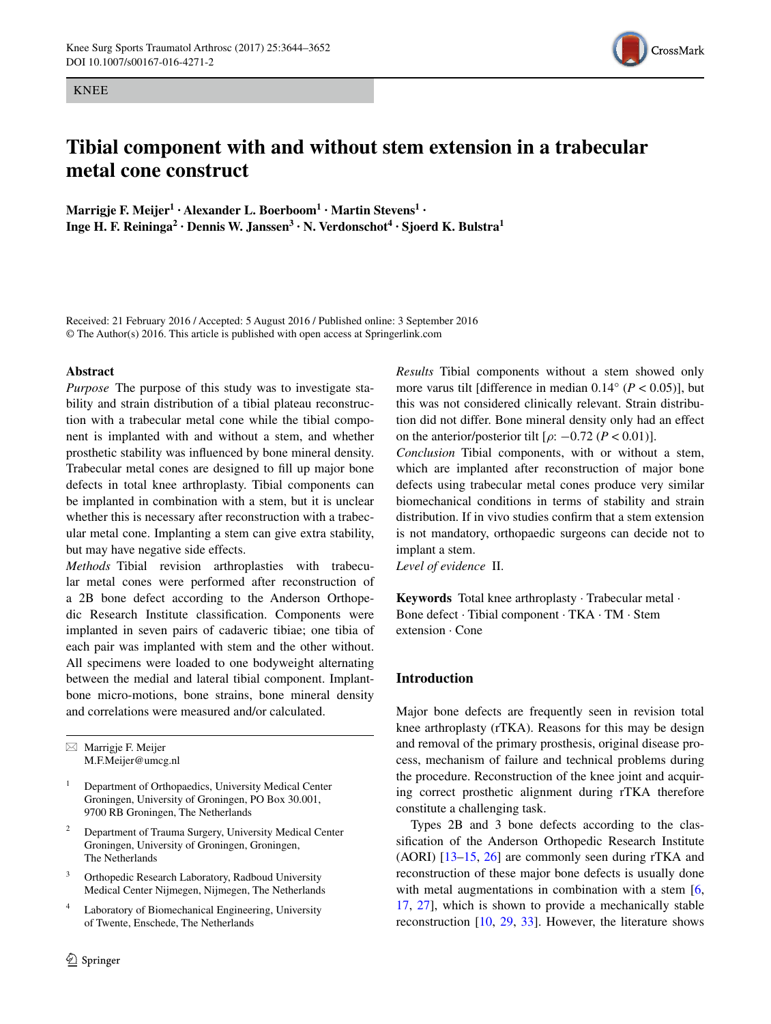

#### KNEE

# **Tibial component with and without stem extension in a trabecular metal cone construct**

**Marrigje F. Meijer1 · Alexander L. Boerboom1 · Martin Stevens1 · Inge H. F. Reininga<sup>2</sup> · Dennis W. Janssen3 · N. Verdonschot4 · Sjoerd K. Bulstra1**

Received: 21 February 2016 / Accepted: 5 August 2016 / Published online: 3 September 2016 © The Author(s) 2016. This article is published with open access at Springerlink.com

#### **Abstract**

*Purpose* The purpose of this study was to investigate stability and strain distribution of a tibial plateau reconstruction with a trabecular metal cone while the tibial component is implanted with and without a stem, and whether prosthetic stability was infuenced by bone mineral density. Trabecular metal cones are designed to fll up major bone defects in total knee arthroplasty. Tibial components can be implanted in combination with a stem, but it is unclear whether this is necessary after reconstruction with a trabecular metal cone. Implanting a stem can give extra stability, but may have negative side effects.

*Methods* Tibial revision arthroplasties with trabecular metal cones were performed after reconstruction of a 2B bone defect according to the Anderson Orthopedic Research Institute classifcation. Components were implanted in seven pairs of cadaveric tibiae; one tibia of each pair was implanted with stem and the other without. All specimens were loaded to one bodyweight alternating between the medial and lateral tibial component. Implantbone micro-motions, bone strains, bone mineral density and correlations were measured and/or calculated.

 $\boxtimes$  Marrigje F. Meijer M.F.Meijer@umcg.nl

- <sup>1</sup> Department of Orthopaedics, University Medical Center Groningen, University of Groningen, PO Box 30.001, 9700 RB Groningen, The Netherlands
- <sup>2</sup> Department of Trauma Surgery, University Medical Center Groningen, University of Groningen, Groningen, The Netherlands
- <sup>3</sup> Orthopedic Research Laboratory, Radboud University Medical Center Nijmegen, Nijmegen, The Netherlands
- Laboratory of Biomechanical Engineering, University of Twente, Enschede, The Netherlands

*Results* Tibial components without a stem showed only more varus tilt [difference in median 0.14° (*P* < 0.05)], but this was not considered clinically relevant. Strain distribution did not differ. Bone mineral density only had an effect on the anterior/posterior tilt  $[\rho: -0.72$  ( $P < 0.01$ )].

*Conclusion* Tibial components, with or without a stem, which are implanted after reconstruction of major bone defects using trabecular metal cones produce very similar biomechanical conditions in terms of stability and strain distribution. If in vivo studies confrm that a stem extension is not mandatory, orthopaedic surgeons can decide not to implant a stem.

*Level of evidence* II.

**Keywords** Total knee arthroplasty · Trabecular metal · Bone defect · Tibial component · TKA · TM · Stem extension · Cone

## **Introduction**

Major bone defects are frequently seen in revision total knee arthroplasty (rTKA). Reasons for this may be design and removal of the primary prosthesis, original disease process, mechanism of failure and technical problems during the procedure. Reconstruction of the knee joint and acquiring correct prosthetic alignment during rTKA therefore constitute a challenging task.

Types 2B and 3 bone defects according to the classifcation of the Anderson Orthopedic Research Institute (AORI) [\[13](#page-8-0)[–15](#page-8-1), [26](#page-8-2)] are commonly seen during rTKA and reconstruction of these major bone defects is usually done with metal augmentations in combination with a stem [[6,](#page-7-0) [17](#page-8-3), [27](#page-8-4)], which is shown to provide a mechanically stable reconstruction [\[10](#page-7-1), [29](#page-8-5), [33\]](#page-8-6). However, the literature shows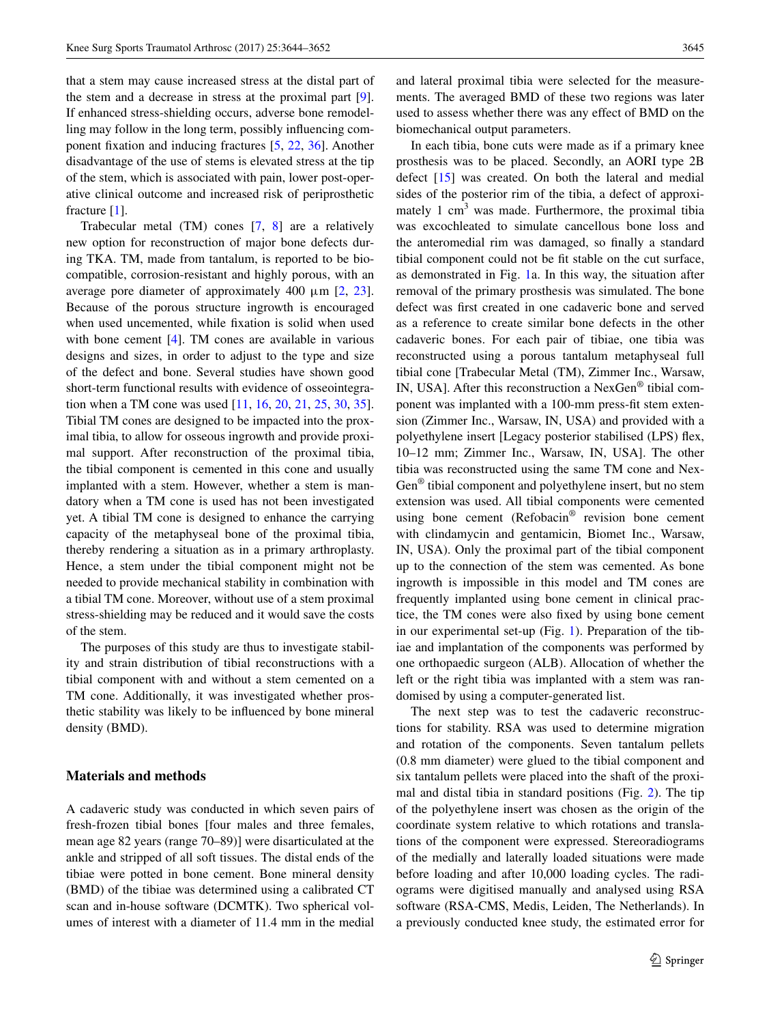that a stem may cause increased stress at the distal part of the stem and a decrease in stress at the proximal part [\[9](#page-7-2)]. If enhanced stress-shielding occurs, adverse bone remodelling may follow in the long term, possibly infuencing component fxation and inducing fractures [[5,](#page-7-3) [22](#page-8-7), [36](#page-8-8)]. Another disadvantage of the use of stems is elevated stress at the tip of the stem, which is associated with pain, lower post-operative clinical outcome and increased risk of periprosthetic fracture [[1\]](#page-7-4).

Trabecular metal (TM) cones [\[7](#page-7-5), [8](#page-7-6)] are a relatively new option for reconstruction of major bone defects during TKA. TM, made from tantalum, is reported to be biocompatible, corrosion-resistant and highly porous, with an average pore diameter of approximately 400 μm  $[2, 23]$  $[2, 23]$  $[2, 23]$  $[2, 23]$  $[2, 23]$ . Because of the porous structure ingrowth is encouraged when used uncemented, while fxation is solid when used with bone cement [\[4](#page-7-8)]. TM cones are available in various designs and sizes, in order to adjust to the type and size of the defect and bone. Several studies have shown good short-term functional results with evidence of osseointegration when a TM cone was used [\[11](#page-7-9), [16](#page-8-10), [20,](#page-8-11) [21,](#page-8-12) [25,](#page-8-13) [30](#page-8-14), [35](#page-8-15)]. Tibial TM cones are designed to be impacted into the proximal tibia, to allow for osseous ingrowth and provide proximal support. After reconstruction of the proximal tibia, the tibial component is cemented in this cone and usually implanted with a stem. However, whether a stem is mandatory when a TM cone is used has not been investigated yet. A tibial TM cone is designed to enhance the carrying capacity of the metaphyseal bone of the proximal tibia, thereby rendering a situation as in a primary arthroplasty. Hence, a stem under the tibial component might not be needed to provide mechanical stability in combination with a tibial TM cone. Moreover, without use of a stem proximal stress-shielding may be reduced and it would save the costs of the stem.

The purposes of this study are thus to investigate stability and strain distribution of tibial reconstructions with a tibial component with and without a stem cemented on a TM cone. Additionally, it was investigated whether prosthetic stability was likely to be infuenced by bone mineral density (BMD).

## **Materials and methods**

A cadaveric study was conducted in which seven pairs of fresh-frozen tibial bones [four males and three females, mean age 82 years (range 70–89)] were disarticulated at the ankle and stripped of all soft tissues. The distal ends of the tibiae were potted in bone cement. Bone mineral density (BMD) of the tibiae was determined using a calibrated CT scan and in-house software (DCMTK). Two spherical volumes of interest with a diameter of 11.4 mm in the medial

and lateral proximal tibia were selected for the measurements. The averaged BMD of these two regions was later used to assess whether there was any effect of BMD on the biomechanical output parameters.

In each tibia, bone cuts were made as if a primary knee prosthesis was to be placed. Secondly, an AORI type 2B defect [\[15](#page-8-1)] was created. On both the lateral and medial sides of the posterior rim of the tibia, a defect of approximately 1  $\text{cm}^3$  was made. Furthermore, the proximal tibia was excochleated to simulate cancellous bone loss and the anteromedial rim was damaged, so fnally a standard tibial component could not be ft stable on the cut surface, as demonstrated in Fig. [1a](#page-2-0). In this way, the situation after removal of the primary prosthesis was simulated. The bone defect was frst created in one cadaveric bone and served as a reference to create similar bone defects in the other cadaveric bones. For each pair of tibiae, one tibia was reconstructed using a porous tantalum metaphyseal full tibial cone [Trabecular Metal (TM), Zimmer Inc., Warsaw, IN, USA]. After this reconstruction a NexGen® tibial component was implanted with a 100-mm press-ft stem extension (Zimmer Inc., Warsaw, IN, USA) and provided with a polyethylene insert [Legacy posterior stabilised (LPS) fex, 10–12 mm; Zimmer Inc., Warsaw, IN, USA]. The other tibia was reconstructed using the same TM cone and Nex-Gen® tibial component and polyethylene insert, but no stem extension was used. All tibial components were cemented using bone cement (Refobacin<sup>®</sup> revision bone cement with clindamycin and gentamicin, Biomet Inc., Warsaw, IN, USA). Only the proximal part of the tibial component up to the connection of the stem was cemented. As bone ingrowth is impossible in this model and TM cones are frequently implanted using bone cement in clinical practice, the TM cones were also fxed by using bone cement in our experimental set-up (Fig. [1\)](#page-2-0). Preparation of the tibiae and implantation of the components was performed by one orthopaedic surgeon (ALB). Allocation of whether the left or the right tibia was implanted with a stem was randomised by using a computer-generated list.

The next step was to test the cadaveric reconstructions for stability. RSA was used to determine migration and rotation of the components. Seven tantalum pellets (0.8 mm diameter) were glued to the tibial component and six tantalum pellets were placed into the shaft of the proximal and distal tibia in standard positions (Fig. [2](#page-2-1)). The tip of the polyethylene insert was chosen as the origin of the coordinate system relative to which rotations and translations of the component were expressed. Stereoradiograms of the medially and laterally loaded situations were made before loading and after 10,000 loading cycles. The radiograms were digitised manually and analysed using RSA software (RSA-CMS, Medis, Leiden, The Netherlands). In a previously conducted knee study, the estimated error for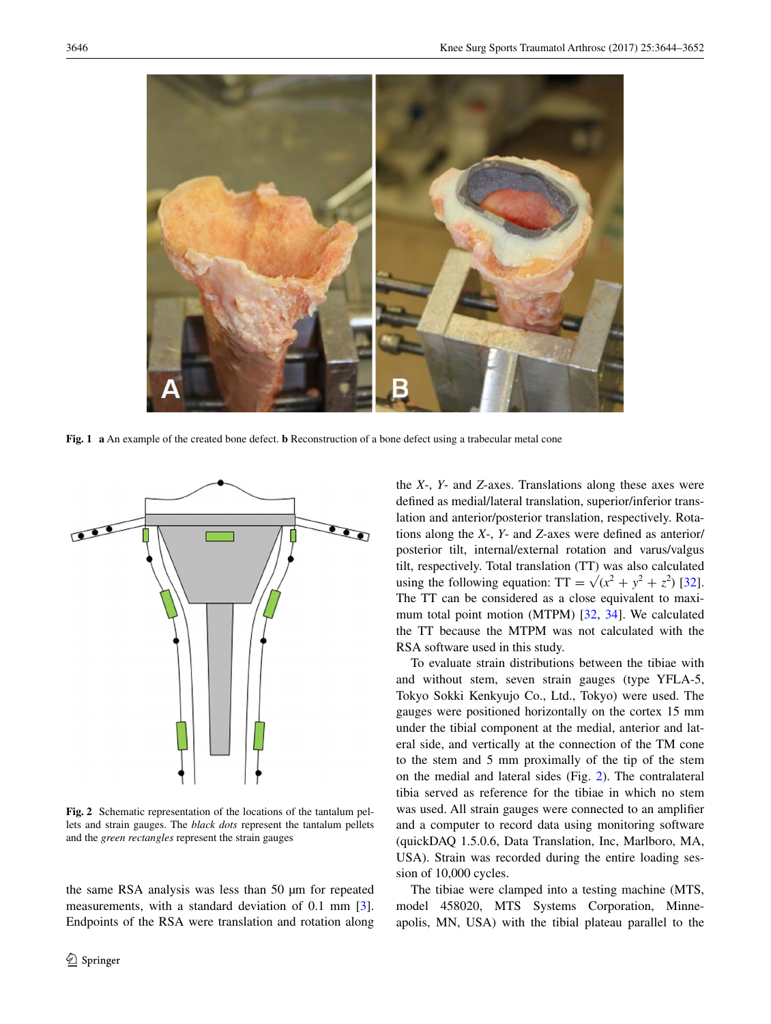

**Fig. 1 a** An example of the created bone defect. **b** Reconstruction of a bone defect using a trabecular metal cone

<span id="page-2-0"></span>

<span id="page-2-1"></span>**Fig. 2** Schematic representation of the locations of the tantalum pellets and strain gauges. The *black dots* represent the tantalum pellets and the *green rectangles* represent the strain gauges

the same RSA analysis was less than 50 µm for repeated measurements, with a standard deviation of 0.1 mm [\[3](#page-7-10)]. Endpoints of the RSA were translation and rotation along the *X*-, *Y*- and *Z*-axes. Translations along these axes were defned as medial/lateral translation, superior/inferior translation and anterior/posterior translation, respectively. Rotations along the *X*-, *Y*- and *Z*-axes were defned as anterior/ posterior tilt, internal/external rotation and varus/valgus tilt, respectively. Total translation (TT) was also calculated using the following equation:  $TT = \sqrt{x^2 + y^2 + z^2}$  [\[32](#page-8-16)]. The TT can be considered as a close equivalent to maximum total point motion (MTPM) [\[32](#page-8-16), [34\]](#page-8-17). We calculated the TT because the MTPM was not calculated with the RSA software used in this study.

To evaluate strain distributions between the tibiae with and without stem, seven strain gauges (type YFLA-5, Tokyo Sokki Kenkyujo Co., Ltd., Tokyo) were used. The gauges were positioned horizontally on the cortex 15 mm under the tibial component at the medial, anterior and lateral side, and vertically at the connection of the TM cone to the stem and 5 mm proximally of the tip of the stem on the medial and lateral sides (Fig. [2\)](#page-2-1). The contralateral tibia served as reference for the tibiae in which no stem was used. All strain gauges were connected to an amplifer and a computer to record data using monitoring software (quickDAQ 1.5.0.6, Data Translation, Inc, Marlboro, MA, USA). Strain was recorded during the entire loading session of 10,000 cycles.

The tibiae were clamped into a testing machine (MTS, model 458020, MTS Systems Corporation, Minneapolis, MN, USA) with the tibial plateau parallel to the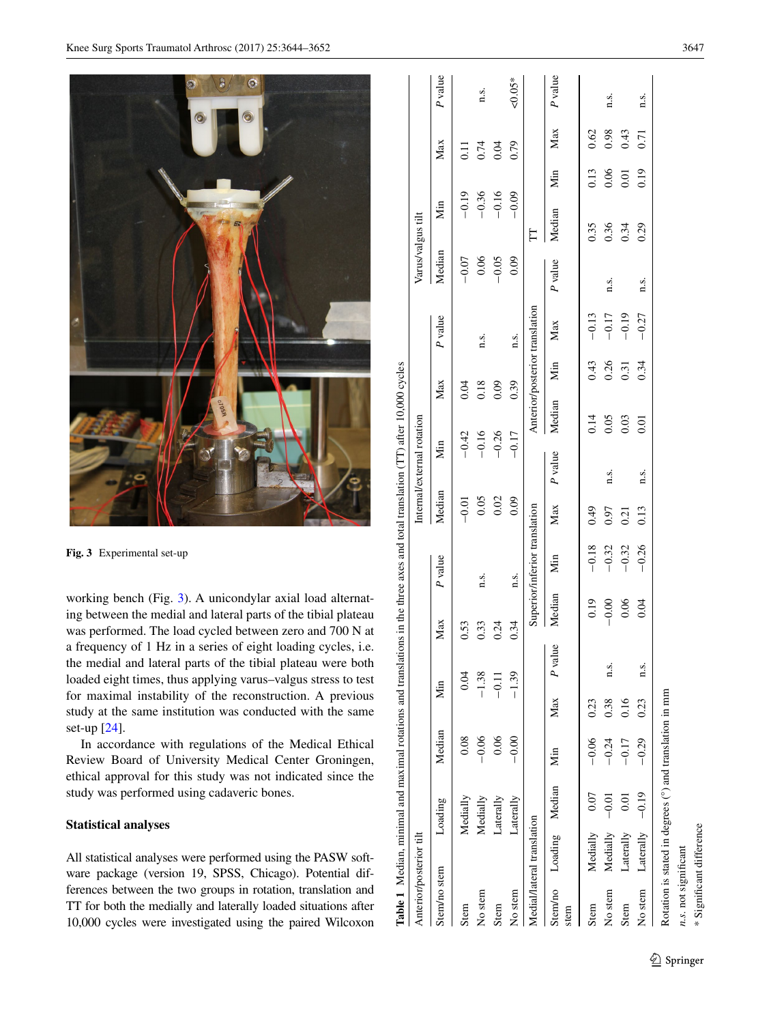

**Fig. 3** Experimental set-up

<span id="page-3-0"></span>working bench (Fig. [3](#page-3-0)). A unicondylar axial load alternating between the medial and lateral parts of the tibial plateau was performed. The load cycled between zero and 700 N at a frequency of 1 Hz in a series of eight loading cycles, i.e. the medial and lateral parts of the tibial plateau were both loaded eight times, thus applying varus–valgus stress to test for maximal instability of the reconstruction. A previous study at the same institution was conducted with the same set-up [\[24](#page-8-18)].

In accordance with regulations of the Medical Ethical Review Board of University Medical Center Groningen, ethical approval for this study was not indicated since the study was performed using cadaveric bones.

## **Statistical analyses**

<span id="page-3-1"></span>All statistical analyses were performed using the PASW soft ware package (version 19, SPSS, Chicago). Potential differences between the two groups in rotation, translation and TT for both the medially and laterally loaded situations after 10,000 cycles were investigated using the paired Wilcoxon

|                         | Table 1 Median, minimal and maximal rotations and translations in the three axes and total translation (TT) after 10,000 cycles |                |         |      |         |         |                               |         |                            |                                |      |         |                   |         |      |                |          |
|-------------------------|---------------------------------------------------------------------------------------------------------------------------------|----------------|---------|------|---------|---------|-------------------------------|---------|----------------------------|--------------------------------|------|---------|-------------------|---------|------|----------------|----------|
| Anterior/posterior tilt |                                                                                                                                 |                |         |      |         |         |                               |         | Internal/external rotation |                                |      |         | Varus/valgus tilt |         |      |                |          |
| Stem/no stem            |                                                                                                                                 | Loading        | Median  | Min  |         | Max     | P value                       | Median  | Min                        |                                | Max  | P value | Median            | Min     |      | Max            | P value  |
| Stem                    |                                                                                                                                 | Medially       | 0.08    |      | 0.04    | 0.53    |                               | $-0.01$ | $-0.42$                    |                                | 0.04 |         | $-0.07$           | $-0.19$ |      | $\overline{1}$ |          |
| No stem                 |                                                                                                                                 | Medially       | $-0.06$ |      | $-1.38$ | 0.33    | n.s.                          | 0.05    | $-0.16$                    |                                | 0.18 | n.s.    | 0.06              | $-0.36$ |      | 0.74           | n.s.     |
| Stem                    |                                                                                                                                 | Laterally      | 0.06    |      | $-0.11$ | 0.24    |                               | 0.02    | $-0.26$                    |                                | 0.09 |         | $-0.05$           | $-0.16$ |      | 0.04           |          |
| No stem                 |                                                                                                                                 | Laterally      | $-0.00$ |      | $-1.39$ | 0.34    | n.s.                          | 0.09    | $-0.17$                    | 0.39                           |      | n.s.    | 0.09              | $-0.09$ |      | 0.79           | $<0.05*$ |
|                         | Medial/lateral translation                                                                                                      |                |         |      |         |         | Superior/inferior translation |         |                            | Anterior/posterior translation |      |         |                   | Ë       |      |                |          |
| Stem/no<br>stem         | Loading                                                                                                                         | Median         | Min     | Max  | P value | Median  | Min                           | Max     | P value                    | Median                         | Min  | Max     | P value           | Median  | Min  | Max            | P value  |
| Stem                    | Medially                                                                                                                        | 0.07           | $-0.06$ | 0.23 |         | 0.19    | $-0.18$                       | 0.49    |                            | 0.14                           | 0.43 | $-0.13$ |                   | 0.35    | 0.13 | 0.62           |          |
| No stem                 | Medially                                                                                                                        | $-0.01$        | $-0.24$ | 0.38 | n.s.    | $-0.00$ | $-0.32$                       | 0.97    | n.s.                       | 0.05                           | 0.26 | $-0.17$ | n.s.              | 0.36    | 0.06 | 0.98           | n.s.     |
| Stem                    | Laterally                                                                                                                       | $\overline{0}$ | $-0.17$ | 0.16 |         | 0.06    | $-0.32$                       | 0.21    |                            | 0.03                           | 0.31 | $-0.19$ |                   | 0.34    | 0.01 | 0.43           |          |
| No stem                 | Laterally                                                                                                                       | $-0.19$        | $-0.29$ | 0.23 | n.s.    | 0.04    | $-0.26$                       | 0.13    | n.s.                       | 0.01                           | 0.34 | $-0.27$ | n.s.              | 0.29    | 0.19 | 0.71           | n.s.     |
|                         | Rotation is stated in degrees $(°)$ and translation in mm                                                                       |                |         |      |         |         |                               |         |                            |                                |      |         |                   |         |      |                |          |
| n.s. not significant    |                                                                                                                                 |                |         |      |         |         |                               |         |                            |                                |      |         |                   |         |      |                |          |
|                         | * Significant difference                                                                                                        |                |         |      |         |         |                               |         |                            |                                |      |         |                   |         |      |                |          |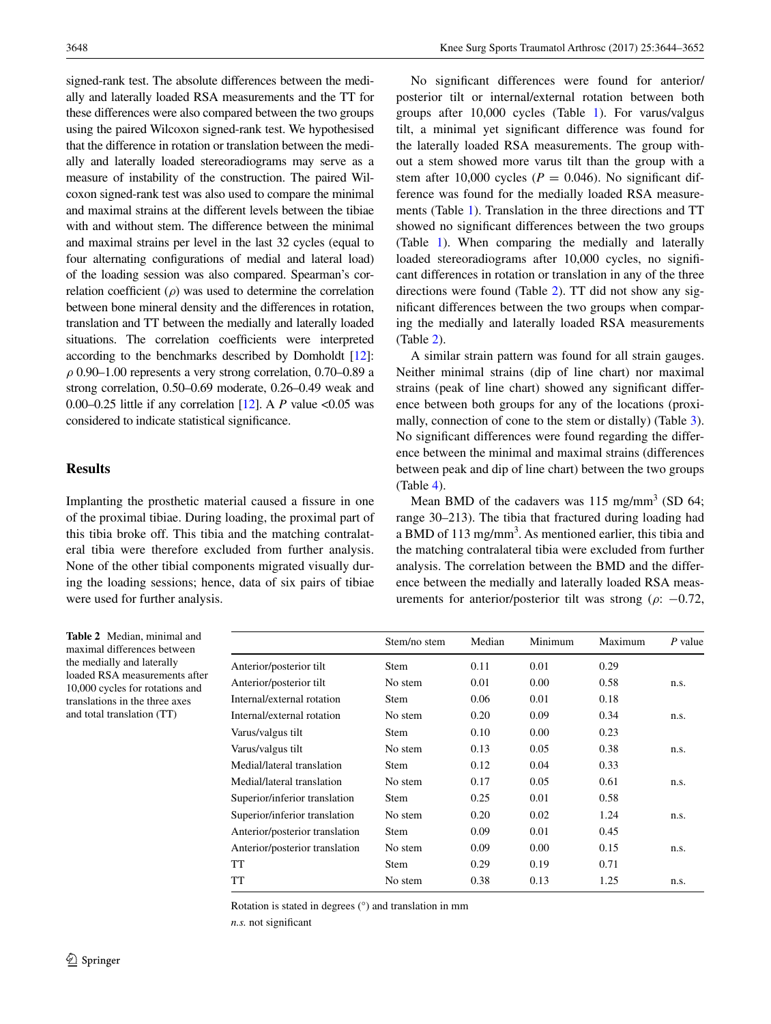signed-rank test. The absolute differences between the medially and laterally loaded RSA measurements and the TT for these differences were also compared between the two groups using the paired Wilcoxon signed-rank test. We hypothesised that the difference in rotation or translation between the medially and laterally loaded stereoradiograms may serve as a measure of instability of the construction. The paired Wilcoxon signed-rank test was also used to compare the minimal and maximal strains at the different levels between the tibiae with and without stem. The difference between the minimal and maximal strains per level in the last 32 cycles (equal to four alternating confgurations of medial and lateral load) of the loading session was also compared. Spearman's correlation coefficient  $(\rho)$  was used to determine the correlation between bone mineral density and the differences in rotation, translation and TT between the medially and laterally loaded situations. The correlation coefficients were interpreted according to the benchmarks described by Domholdt [\[12](#page-7-11)]: *ρ* 0.90–1.00 represents a very strong correlation, 0.70–0.89 a strong correlation, 0.50–0.69 moderate, 0.26–0.49 weak and 0.00–0.25 little if any correlation [\[12](#page-7-11)]. A *P* value <0.05 was considered to indicate statistical signifcance.

## **Results**

Implanting the prosthetic material caused a fissure in one of the proximal tibiae. During loading, the proximal part of this tibia broke off. This tibia and the matching contralateral tibia were therefore excluded from further analysis. None of the other tibial components migrated visually during the loading sessions; hence, data of six pairs of tibiae were used for further analysis.

No signifcant differences were found for anterior/ posterior tilt or internal/external rotation between both groups after 10,000 cycles (Table [1](#page-3-1)). For varus/valgus tilt, a minimal yet signifcant difference was found for the laterally loaded RSA measurements. The group without a stem showed more varus tilt than the group with a stem after 10,000 cycles ( $P = 0.046$ ). No significant difference was found for the medially loaded RSA measurements (Table [1](#page-3-1)). Translation in the three directions and TT showed no signifcant differences between the two groups (Table [1](#page-3-1)). When comparing the medially and laterally loaded stereoradiograms after 10,000 cycles, no signifcant differences in rotation or translation in any of the three directions were found (Table [2](#page-4-0)). TT did not show any signifcant differences between the two groups when comparing the medially and laterally loaded RSA measurements (Table [2\)](#page-4-0).

A similar strain pattern was found for all strain gauges. Neither minimal strains (dip of line chart) nor maximal strains (peak of line chart) showed any signifcant difference between both groups for any of the locations (proximally, connection of cone to the stem or distally) (Table [3](#page-5-0)). No signifcant differences were found regarding the difference between the minimal and maximal strains (differences between peak and dip of line chart) between the two groups (Table [4\)](#page-6-0).

Mean BMD of the cadavers was  $115 \text{ mg/mm}^3$  (SD 64; range 30–213). The tibia that fractured during loading had a BMD of 113 mg/mm<sup>3</sup>. As mentioned earlier, this tibia and the matching contralateral tibia were excluded from further analysis. The correlation between the BMD and the difference between the medially and laterally loaded RSA measurements for anterior/posterior tilt was strong ( $\rho$ : -0.72,

<span id="page-4-0"></span>**Table 2** Median, minimal and maximal differences between the medially and laterally loaded RSA measurements after 10,000 cycles for rotations and translations in the three axes and total translation (TT)

|                                | Stem/no stem | Median | Minimum | Maximum | $P$ value |
|--------------------------------|--------------|--------|---------|---------|-----------|
| Anterior/posterior tilt        | <b>Stem</b>  | 0.11   | 0.01    | 0.29    |           |
| Anterior/posterior tilt        | No stem      | 0.01   | 0.00    | 0.58    | n.s.      |
| Internal/external rotation     | Stem         | 0.06   | 0.01    | 0.18    |           |
| Internal/external rotation     | No stem      | 0.20   | 0.09    | 0.34    | n.s.      |
| Varus/valgus tilt              | Stem         | 0.10   | 0.00    | 0.23    |           |
| Varus/valgus tilt              | No stem      | 0.13   | 0.05    | 0.38    | n.s.      |
| Medial/lateral translation     | <b>Stem</b>  | 0.12   | 0.04    | 0.33    |           |
| Medial/lateral translation     | No stem      | 0.17   | 0.05    | 0.61    | n.s.      |
| Superior/inferior translation  | <b>Stem</b>  | 0.25   | 0.01    | 0.58    |           |
| Superior/inferior translation  | No stem      | 0.20   | 0.02    | 1.24    | n.s.      |
| Anterior/posterior translation | Stem         | 0.09   | 0.01    | 0.45    |           |
| Anterior/posterior translation | No stem      | 0.09   | 0.00    | 0.15    | n.s.      |
| TT                             | <b>Stem</b>  | 0.29   | 0.19    | 0.71    |           |
| TT                             | No stem      | 0.38   | 0.13    | 1.25    | n.s.      |
|                                |              |        |         |         |           |

Rotation is stated in degrees (°) and translation in mm

*n.s.* not signifcant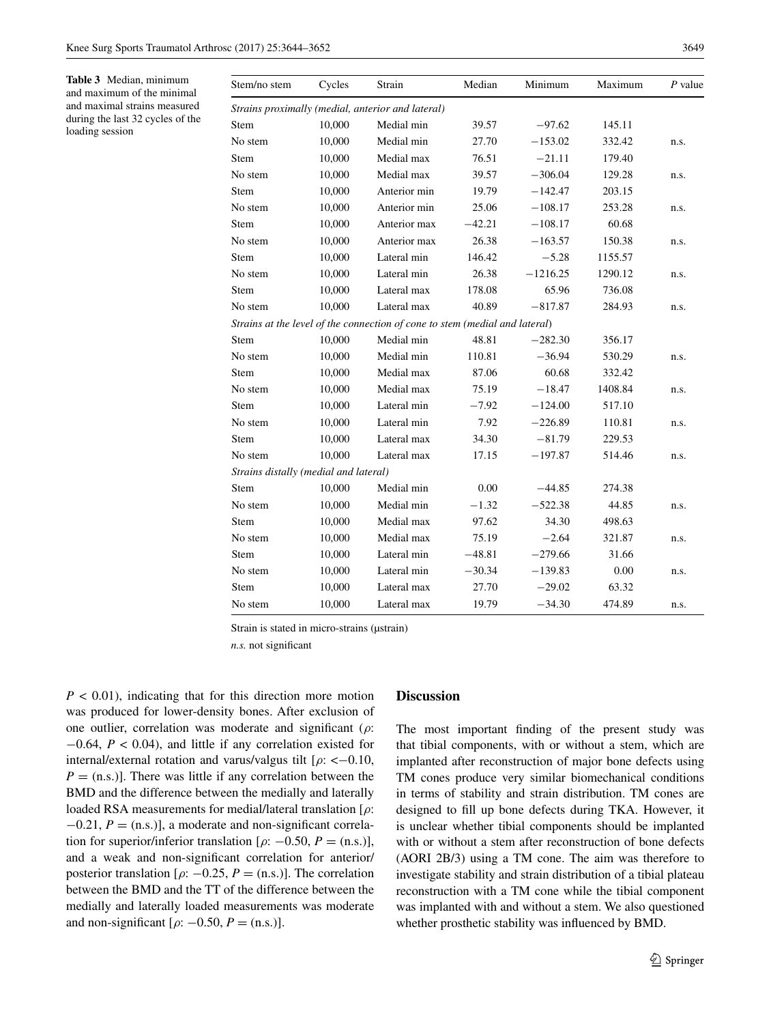<span id="page-5-0"></span>**Table 3** Median, minimum and maximum of the minimal and maximal strains measured during the last 32 cycles of the loading session

| Stem/no stem                          | Cycles | Strain                                                                      | Median   | Minimum    | Maximum | $P$ value |
|---------------------------------------|--------|-----------------------------------------------------------------------------|----------|------------|---------|-----------|
|                                       |        | Strains proximally (medial, anterior and lateral)                           |          |            |         |           |
| Stem                                  | 10,000 | Medial min                                                                  | 39.57    | $-97.62$   | 145.11  |           |
| No stem                               | 10,000 | Medial min                                                                  | 27.70    | $-153.02$  | 332.42  | n.s.      |
| Stem                                  | 10,000 | Medial max                                                                  | 76.51    | $-21.11$   | 179.40  |           |
| No stem                               | 10,000 | Medial max                                                                  | 39.57    | $-306.04$  | 129.28  | n.s.      |
| Stem                                  | 10,000 | Anterior min                                                                | 19.79    | $-142.47$  | 203.15  |           |
| No stem                               | 10,000 | Anterior min                                                                | 25.06    | $-108.17$  | 253.28  | n.s.      |
| Stem                                  | 10,000 | Anterior max                                                                | $-42.21$ | $-108.17$  | 60.68   |           |
| No stem                               | 10,000 | Anterior max                                                                | 26.38    | $-163.57$  | 150.38  | n.s.      |
| Stem                                  | 10,000 | Lateral min                                                                 | 146.42   | $-5.28$    | 1155.57 |           |
| No stem                               | 10,000 | Lateral min                                                                 | 26.38    | $-1216.25$ | 1290.12 | n.s.      |
| Stem                                  | 10,000 | Lateral max                                                                 | 178.08   | 65.96      | 736.08  |           |
| No stem                               | 10,000 | Lateral max                                                                 | 40.89    | $-817.87$  | 284.93  | n.s.      |
|                                       |        | Strains at the level of the connection of cone to stem (medial and lateral) |          |            |         |           |
| Stem                                  | 10,000 | Medial min                                                                  | 48.81    | $-282.30$  | 356.17  |           |
| No stem                               | 10,000 | Medial min                                                                  | 110.81   | $-36.94$   | 530.29  | n.s.      |
| Stem                                  | 10,000 | Medial max                                                                  | 87.06    | 60.68      | 332.42  |           |
| No stem                               | 10,000 | Medial max                                                                  | 75.19    | $-18.47$   | 1408.84 | n.s.      |
| Stem                                  | 10,000 | Lateral min                                                                 | $-7.92$  | $-124.00$  | 517.10  |           |
| No stem                               | 10,000 | Lateral min                                                                 | 7.92     | $-226.89$  | 110.81  | n.s.      |
| Stem                                  | 10,000 | Lateral max                                                                 | 34.30    | $-81.79$   | 229.53  |           |
| No stem                               | 10,000 | Lateral max                                                                 | 17.15    | $-197.87$  | 514.46  | n.s.      |
| Strains distally (medial and lateral) |        |                                                                             |          |            |         |           |
| Stem                                  | 10,000 | Medial min                                                                  | 0.00     | $-44.85$   | 274.38  |           |
| No stem                               | 10,000 | Medial min                                                                  | $-1.32$  | $-522.38$  | 44.85   | n.s.      |
| Stem                                  | 10,000 | Medial max                                                                  | 97.62    | 34.30      | 498.63  |           |
| No stem                               | 10,000 | Medial max                                                                  | 75.19    | $-2.64$    | 321.87  | n.s.      |
| Stem                                  | 10,000 | Lateral min                                                                 | $-48.81$ | $-279.66$  | 31.66   |           |
| No stem                               | 10,000 | Lateral min                                                                 | $-30.34$ | $-139.83$  | 0.00    | n.s.      |
| Stem                                  | 10,000 | Lateral max                                                                 | 27.70    | $-29.02$   | 63.32   |           |
| No stem                               | 10,000 | Lateral max                                                                 | 19.79    | $-34.30$   | 474.89  | n.s.      |

Strain is stated in micro-strains (µstrain)

*n.s.* not signifcant

*P* < 0.01), indicating that for this direction more motion was produced for lower-density bones. After exclusion of one outlier, correlation was moderate and signifcant (*ρ*: −0.64, *P* < 0.04), and little if any correlation existed for internal/external rotation and varus/valgus tilt  $[\rho: < -0.10]$ ,  $P = (n.s.)$ . There was little if any correlation between the BMD and the difference between the medially and laterally loaded RSA measurements for medial/lateral translation [*ρ*:  $-0.21$ ,  $P = (n.s.)$ ], a moderate and non-significant correlation for superior/inferior translation  $[\rho: -0.50, P = (n.s.)]$ , and a weak and non-signifcant correlation for anterior/ posterior translation  $[\rho: -0.25, P = (n.s.)]$ . The correlation between the BMD and the TT of the difference between the medially and laterally loaded measurements was moderate and non-significant  $[\rho: -0.50, P = (n.s.)]$ .

## **Discussion**

The most important fnding of the present study was that tibial components, with or without a stem, which are implanted after reconstruction of major bone defects using TM cones produce very similar biomechanical conditions in terms of stability and strain distribution. TM cones are designed to fll up bone defects during TKA. However, it is unclear whether tibial components should be implanted with or without a stem after reconstruction of bone defects (AORI 2B/3) using a TM cone. The aim was therefore to investigate stability and strain distribution of a tibial plateau reconstruction with a TM cone while the tibial component was implanted with and without a stem. We also questioned whether prosthetic stability was infuenced by BMD.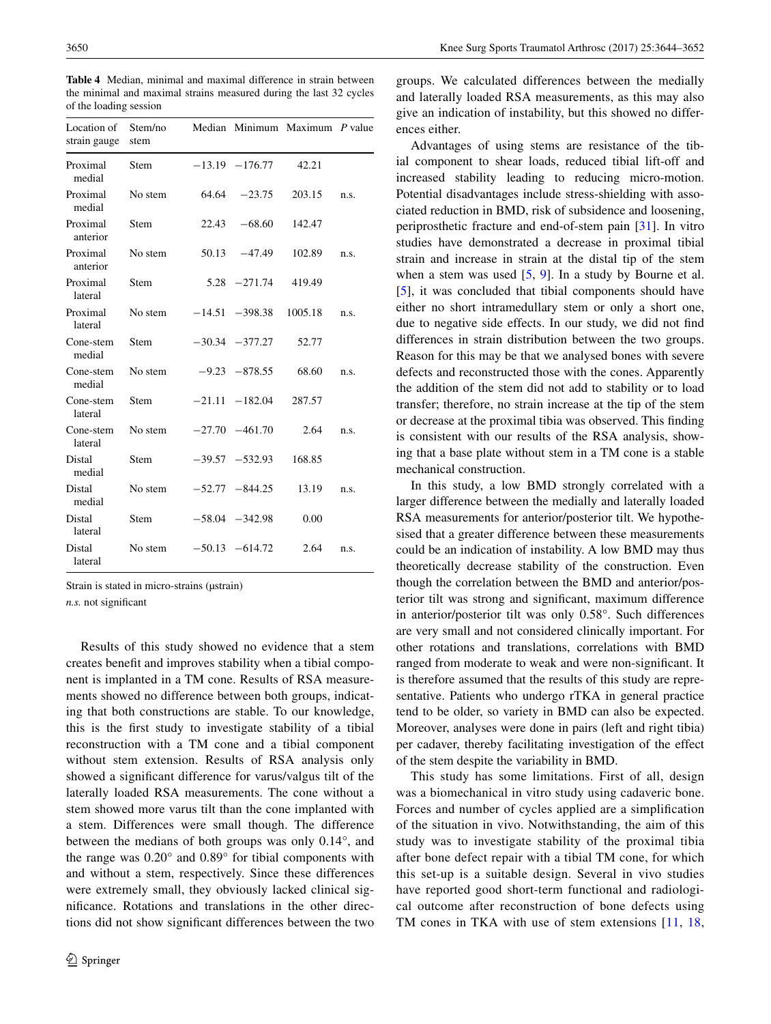| Location of<br>strain gauge | Stem/no<br>stem |       |                    | Median Minimum Maximum P value |      |
|-----------------------------|-----------------|-------|--------------------|--------------------------------|------|
| Proximal<br>medial          | Stem            |       | $-13.19$ $-176.77$ | 42.21                          |      |
| Proximal<br>medial          | No stem         | 64.64 | $-23.75$           | 203.15                         | n.s. |
| Proximal<br>anterior        | <b>Stem</b>     | 22.43 | $-68.60$           | 142.47                         |      |
| Proximal<br>anterior        | No stem         | 50.13 | $-47.49$           | 102.89                         | n.s. |
| Proximal<br>lateral         | Stem            |       | $5.28 - 271.74$    | 419.49                         |      |
| Proximal<br>lateral         | No stem         |       | $-14.51 - 398.38$  | 1005.18                        | n.s. |
| Cone-stem<br>medial         | <b>Stem</b>     |       | $-30.34$ $-377.27$ | 52.77                          |      |
| Cone-stem<br>medial         | No stem         |       | $-9.23 -878.55$    | 68.60                          | n.s. |
| Cone-stem<br>lateral        | Stem            |       | $-21.11 - 182.04$  | 287.57                         |      |
| Cone-stem<br>lateral        | No stem         |       | $-27.70$ $-461.70$ | 2.64                           | n.s. |
| Distal<br>medial            | <b>Stem</b>     |       | $-39.57 -532.93$   | 168.85                         |      |
| Distal<br>medial            | No stem         |       | $-52.77 - 844.25$  | 13.19                          | n.s. |
| Distal<br>lateral           | <b>Stem</b>     |       | $-58.04$ $-342.98$ | 0.00                           |      |
| Distal<br>lateral           | No stem         |       | $-50.13 -614.72$   | 2.64                           | n.s. |

<span id="page-6-0"></span>**Table 4** Median, minimal and maximal difference in strain between the minimal and maximal strains measured during the last 32 cycles of the loading session

Strain is stated in micro-strains (µstrain)

*n.s.* not signifcant

Results of this study showed no evidence that a stem creates beneft and improves stability when a tibial component is implanted in a TM cone. Results of RSA measurements showed no difference between both groups, indicating that both constructions are stable. To our knowledge, this is the frst study to investigate stability of a tibial reconstruction with a TM cone and a tibial component without stem extension. Results of RSA analysis only showed a signifcant difference for varus/valgus tilt of the laterally loaded RSA measurements. The cone without a stem showed more varus tilt than the cone implanted with a stem. Differences were small though. The difference between the medians of both groups was only 0.14°, and the range was 0.20° and 0.89° for tibial components with and without a stem, respectively. Since these differences were extremely small, they obviously lacked clinical signifcance. Rotations and translations in the other directions did not show signifcant differences between the two

groups. We calculated differences between the medially and laterally loaded RSA measurements, as this may also give an indication of instability, but this showed no differences either.

Advantages of using stems are resistance of the tibial component to shear loads, reduced tibial lift-off and increased stability leading to reducing micro-motion. Potential disadvantages include stress-shielding with associated reduction in BMD, risk of subsidence and loosening, periprosthetic fracture and end-of-stem pain [[31\]](#page-8-19). In vitro studies have demonstrated a decrease in proximal tibial strain and increase in strain at the distal tip of the stem when a stem was used [\[5](#page-7-3), [9](#page-7-2)]. In a study by Bourne et al. [\[5](#page-7-3)], it was concluded that tibial components should have either no short intramedullary stem or only a short one, due to negative side effects. In our study, we did not fnd differences in strain distribution between the two groups. Reason for this may be that we analysed bones with severe defects and reconstructed those with the cones. Apparently the addition of the stem did not add to stability or to load transfer; therefore, no strain increase at the tip of the stem or decrease at the proximal tibia was observed. This fnding is consistent with our results of the RSA analysis, showing that a base plate without stem in a TM cone is a stable mechanical construction.

In this study, a low BMD strongly correlated with a larger difference between the medially and laterally loaded RSA measurements for anterior/posterior tilt. We hypothesised that a greater difference between these measurements could be an indication of instability. A low BMD may thus theoretically decrease stability of the construction. Even though the correlation between the BMD and anterior/posterior tilt was strong and signifcant, maximum difference in anterior/posterior tilt was only 0.58°. Such differences are very small and not considered clinically important. For other rotations and translations, correlations with BMD ranged from moderate to weak and were non-signifcant. It is therefore assumed that the results of this study are representative. Patients who undergo rTKA in general practice tend to be older, so variety in BMD can also be expected. Moreover, analyses were done in pairs (left and right tibia) per cadaver, thereby facilitating investigation of the effect of the stem despite the variability in BMD.

This study has some limitations. First of all, design was a biomechanical in vitro study using cadaveric bone. Forces and number of cycles applied are a simplifcation of the situation in vivo. Notwithstanding, the aim of this study was to investigate stability of the proximal tibia after bone defect repair with a tibial TM cone, for which this set-up is a suitable design. Several in vivo studies have reported good short-term functional and radiological outcome after reconstruction of bone defects using TM cones in TKA with use of stem extensions [[11](#page-7-9), [18,](#page-8-20)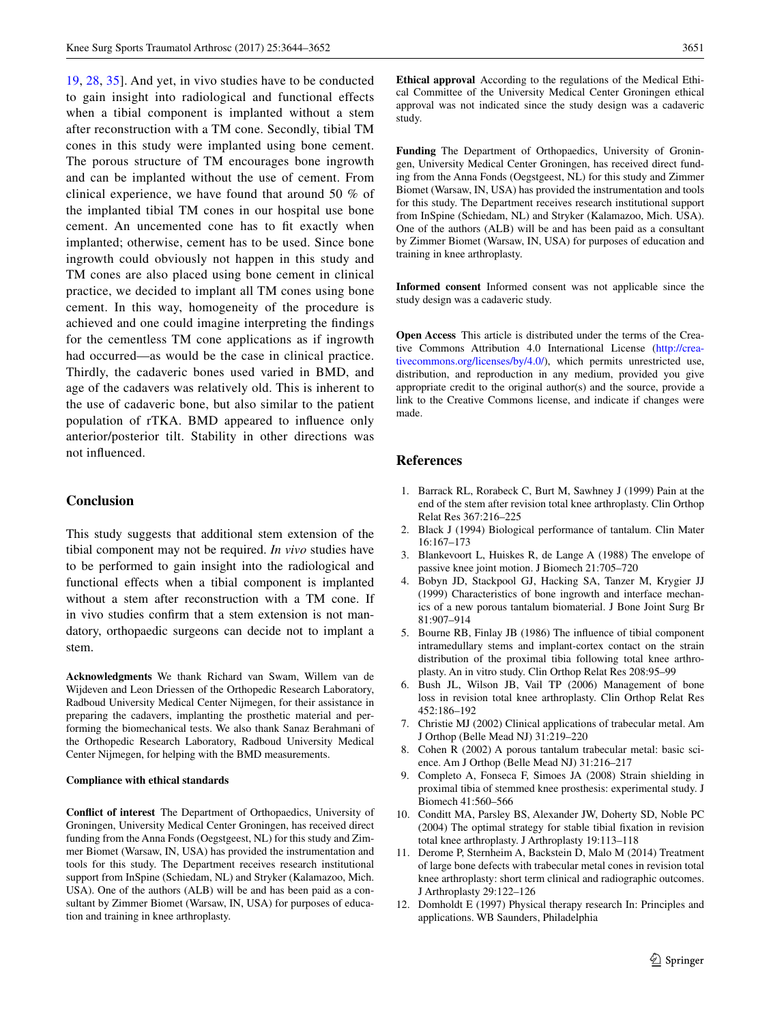[19](#page-8-21), [28,](#page-8-22) [35\]](#page-8-15). And yet, in vivo studies have to be conducted to gain insight into radiological and functional effects when a tibial component is implanted without a stem after reconstruction with a TM cone. Secondly, tibial TM cones in this study were implanted using bone cement. The porous structure of TM encourages bone ingrowth and can be implanted without the use of cement. From clinical experience, we have found that around 50 % of the implanted tibial TM cones in our hospital use bone cement. An uncemented cone has to ft exactly when implanted; otherwise, cement has to be used. Since bone ingrowth could obviously not happen in this study and TM cones are also placed using bone cement in clinical practice, we decided to implant all TM cones using bone cement. In this way, homogeneity of the procedure is achieved and one could imagine interpreting the fndings for the cementless TM cone applications as if ingrowth had occurred—as would be the case in clinical practice. Thirdly, the cadaveric bones used varied in BMD, and age of the cadavers was relatively old. This is inherent to the use of cadaveric bone, but also similar to the patient population of rTKA. BMD appeared to infuence only anterior/posterior tilt. Stability in other directions was not infuenced.

## **Conclusion**

This study suggests that additional stem extension of the tibial component may not be required. *In vivo* studies have to be performed to gain insight into the radiological and functional effects when a tibial component is implanted without a stem after reconstruction with a TM cone. If in vivo studies confrm that a stem extension is not mandatory, orthopaedic surgeons can decide not to implant a stem.

**Acknowledgments** We thank Richard van Swam, Willem van de Wijdeven and Leon Driessen of the Orthopedic Research Laboratory, Radboud University Medical Center Nijmegen, for their assistance in preparing the cadavers, implanting the prosthetic material and performing the biomechanical tests. We also thank Sanaz Berahmani of the Orthopedic Research Laboratory, Radboud University Medical Center Nijmegen, for helping with the BMD measurements.

#### **Compliance with ethical standards**

**Confict of interest** The Department of Orthopaedics, University of Groningen, University Medical Center Groningen, has received direct funding from the Anna Fonds (Oegstgeest, NL) for this study and Zimmer Biomet (Warsaw, IN, USA) has provided the instrumentation and tools for this study. The Department receives research institutional support from InSpine (Schiedam, NL) and Stryker (Kalamazoo, Mich. USA). One of the authors (ALB) will be and has been paid as a consultant by Zimmer Biomet (Warsaw, IN, USA) for purposes of education and training in knee arthroplasty.

**Ethical approval** According to the regulations of the Medical Ethical Committee of the University Medical Center Groningen ethical approval was not indicated since the study design was a cadaveric study.

**Funding** The Department of Orthopaedics, University of Groningen, University Medical Center Groningen, has received direct funding from the Anna Fonds (Oegstgeest, NL) for this study and Zimmer Biomet (Warsaw, IN, USA) has provided the instrumentation and tools for this study. The Department receives research institutional support from InSpine (Schiedam, NL) and Stryker (Kalamazoo, Mich. USA). One of the authors (ALB) will be and has been paid as a consultant by Zimmer Biomet (Warsaw, IN, USA) for purposes of education and training in knee arthroplasty.

**Informed consent** Informed consent was not applicable since the study design was a cadaveric study.

**Open Access** This article is distributed under the terms of the Creative Commons Attribution 4.0 International License ([http://crea](http://creativecommons.org/licenses/by/4.0/)[tivecommons.org/licenses/by/4.0/](http://creativecommons.org/licenses/by/4.0/)), which permits unrestricted use, distribution, and reproduction in any medium, provided you give appropriate credit to the original author(s) and the source, provide a link to the Creative Commons license, and indicate if changes were made.

## **References**

- <span id="page-7-4"></span>1. Barrack RL, Rorabeck C, Burt M, Sawhney J (1999) Pain at the end of the stem after revision total knee arthroplasty. Clin Orthop Relat Res 367:216–225
- <span id="page-7-7"></span>2. Black J (1994) Biological performance of tantalum. Clin Mater 16:167–173
- <span id="page-7-10"></span>3. Blankevoort L, Huiskes R, de Lange A (1988) The envelope of passive knee joint motion. J Biomech 21:705–720
- <span id="page-7-8"></span>4. Bobyn JD, Stackpool GJ, Hacking SA, Tanzer M, Krygier JJ (1999) Characteristics of bone ingrowth and interface mechanics of a new porous tantalum biomaterial. J Bone Joint Surg Br 81:907–914
- <span id="page-7-3"></span>5. Bourne RB, Finlay JB (1986) The infuence of tibial component intramedullary stems and implant-cortex contact on the strain distribution of the proximal tibia following total knee arthroplasty. An in vitro study. Clin Orthop Relat Res 208:95–99
- <span id="page-7-0"></span>6. Bush JL, Wilson JB, Vail TP (2006) Management of bone loss in revision total knee arthroplasty. Clin Orthop Relat Res 452:186–192
- <span id="page-7-5"></span>7. Christie MJ (2002) Clinical applications of trabecular metal. Am J Orthop (Belle Mead NJ) 31:219–220
- <span id="page-7-6"></span>8. Cohen R (2002) A porous tantalum trabecular metal: basic science. Am J Orthop (Belle Mead NJ) 31:216–217
- <span id="page-7-2"></span>9. Completo A, Fonseca F, Simoes JA (2008) Strain shielding in proximal tibia of stemmed knee prosthesis: experimental study. J Biomech 41:560–566
- <span id="page-7-1"></span>10. Conditt MA, Parsley BS, Alexander JW, Doherty SD, Noble PC (2004) The optimal strategy for stable tibial fxation in revision total knee arthroplasty. J Arthroplasty 19:113–118
- <span id="page-7-9"></span>11. Derome P, Sternheim A, Backstein D, Malo M (2014) Treatment of large bone defects with trabecular metal cones in revision total knee arthroplasty: short term clinical and radiographic outcomes. J Arthroplasty 29:122–126
- <span id="page-7-11"></span>12. Domholdt E (1997) Physical therapy research In: Principles and applications. WB Saunders, Philadelphia